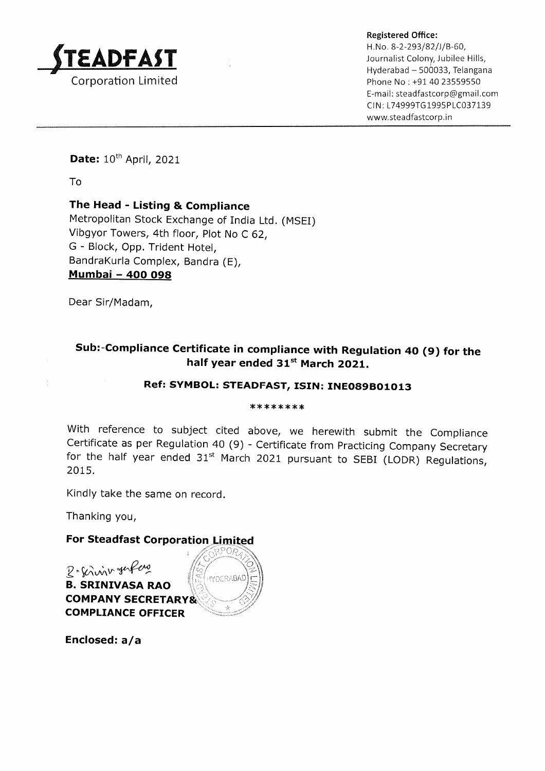

Registered Office:<br>H.No. 8-2-293/82/J/B-60, H.No. 8-2-293/82/J/B-60, Jubilee Hills, Journalist Colony, Jubilee Hills, Hyderabad – 500033, Telangana Phone No: +91 40 23559550 E-mail : steadfastcorp@gmail.com CIN: L74999TG1995PLC037139 www.steadfastcorp. in

Date: 10<sup>th</sup> April, 2021

To

## The Head - Listing & Compliance

Metropolitan Stock Exchange of India Ltd, (MSEI) Vibgyor Towers, 4th floor, plot No C 62, G - Block, Opp. Trident Hotel, BandraKurla Complex, Bandra (E), Mumbai - 4OO O98

Dear Sir/Madam,

# Sub:-Compliance Certificate in compliance with Regulation 4O (9) for the half year ended  $31<sup>st</sup>$  March 2021.

### Ref: SYMBOL: STEADFAST, ISIN: INEO89BO1O13

#### \*\* \*\*\*\*\*\*

With reference to subject cited above, we herewith submit the Compliance<br>Certificate as per Regulation 40 (9) - Certificate from Practicing Company Secretary<br>for the half year ended 31<sup>st</sup> March 2021 pursuant to SEBI (LODR 2015.

Kindly take the same on record.

Thanking you,

## For Steadfast Corporation Limited

2 · Serinin genfero B. SRINIVASA RAO COMPANY SECRETAR COMPLIANCE OFFICER